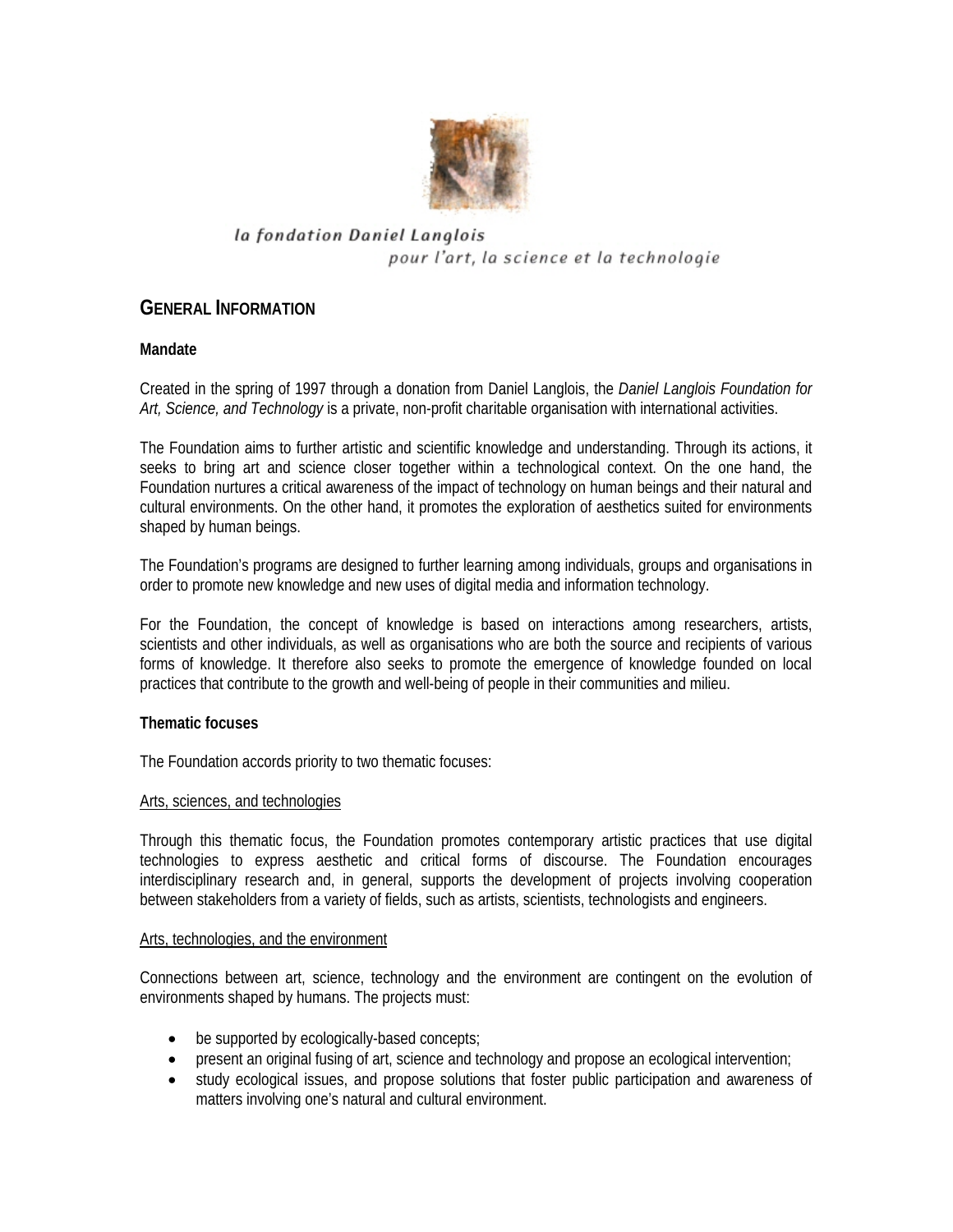

# la fondation Daniel Langlois pour l'art, la science et la technologie

# **GENERAL INFORMATION**

## **Mandate**

Created in the spring of 1997 through a donation from Daniel Langlois, the *Daniel Langlois Foundation for Art, Science, and Technology* is a private, non-profit charitable organisation with international activities.

The Foundation aims to further artistic and scientific knowledge and understanding. Through its actions, it seeks to bring art and science closer together within a technological context. On the one hand, the Foundation nurtures a critical awareness of the impact of technology on human beings and their natural and cultural environments. On the other hand, it promotes the exploration of aesthetics suited for environments shaped by human beings.

The Foundation's programs are designed to further learning among individuals, groups and organisations in order to promote new knowledge and new uses of digital media and information technology.

For the Foundation, the concept of knowledge is based on interactions among researchers, artists, scientists and other individuals, as well as organisations who are both the source and recipients of various forms of knowledge. It therefore also seeks to promote the emergence of knowledge founded on local practices that contribute to the growth and well-being of people in their communities and milieu.

## **Thematic focuses**

The Foundation accords priority to two thematic focuses:

### Arts, sciences, and technologies

Through this thematic focus, the Foundation promotes contemporary artistic practices that use digital technologies to express aesthetic and critical forms of discourse. The Foundation encourages interdisciplinary research and, in general, supports the development of projects involving cooperation between stakeholders from a variety of fields, such as artists, scientists, technologists and engineers.

### Arts, technologies, and the environment

Connections between art, science, technology and the environment are contingent on the evolution of environments shaped by humans. The projects must:

- be supported by ecologically-based concepts;
- present an original fusing of art, science and technology and propose an ecological intervention;
- study ecological issues, and propose solutions that foster public participation and awareness of matters involving one's natural and cultural environment.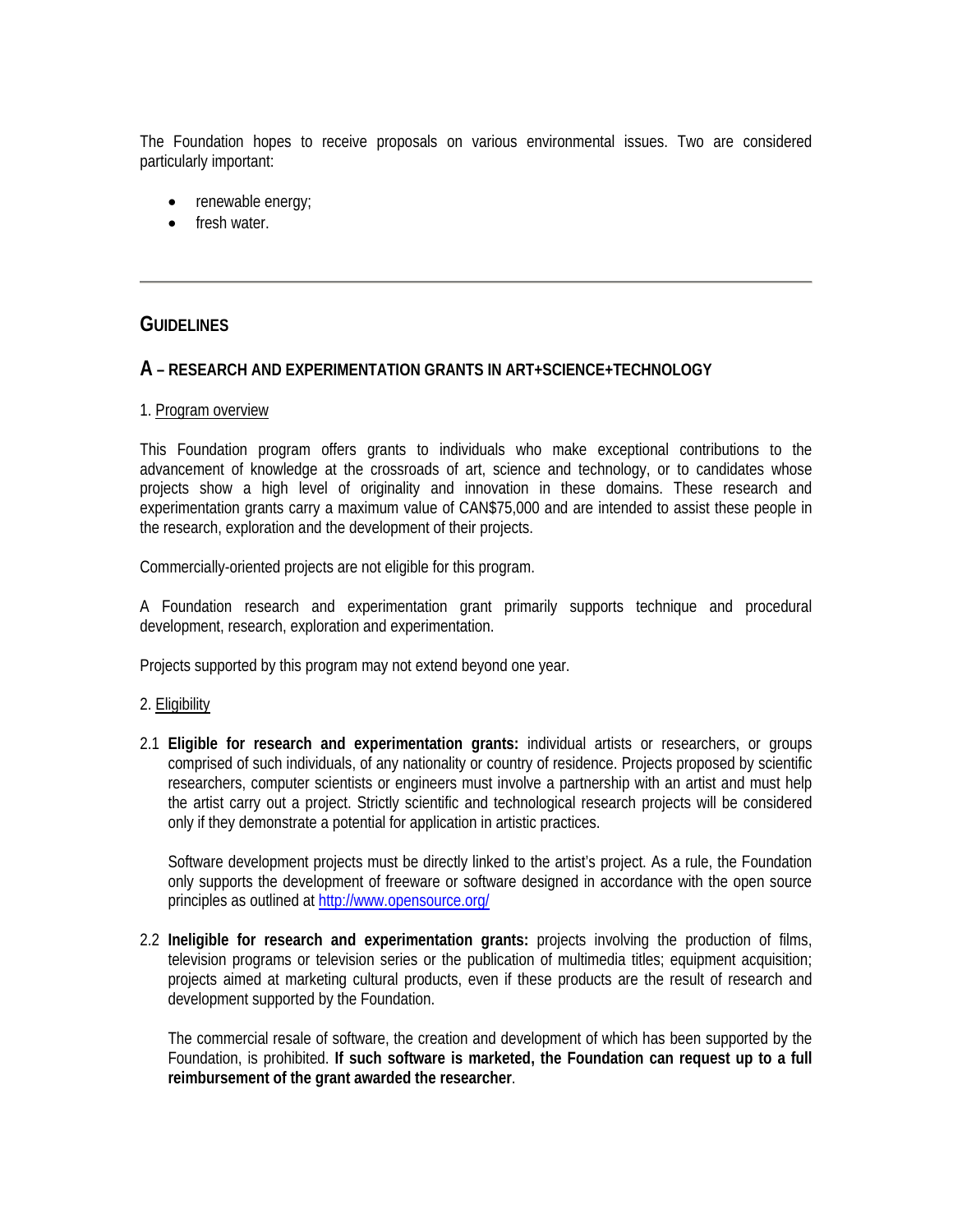The Foundation hopes to receive proposals on various environmental issues. Two are considered particularly important:

- renewable energy;
- fresh water.

## **GUIDELINES**

### **A – RESEARCH AND EXPERIMENTATION GRANTS IN ART+SCIENCE+TECHNOLOGY**

#### 1. Program overview

This Foundation program offers grants to individuals who make exceptional contributions to the advancement of knowledge at the crossroads of art, science and technology, or to candidates whose projects show a high level of originality and innovation in these domains. These research and experimentation grants carry a maximum value of CAN\$75,000 and are intended to assist these people in the research, exploration and the development of their projects.

Commercially-oriented projects are not eligible for this program.

A Foundation research and experimentation grant primarily supports technique and procedural development, research, exploration and experimentation.

Projects supported by this program may not extend beyond one year.

### 2. Eligibility

2.1 **Eligible for research and experimentation grants:** individual artists or researchers, or groups comprised of such individuals, of any nationality or country of residence. Projects proposed by scientific researchers, computer scientists or engineers must involve a partnership with an artist and must help the artist carry out a project. Strictly scientific and technological research projects will be considered only if they demonstrate a potential for application in artistic practices.

Software development projects must be directly linked to the artist's project. As a rule, the Foundation only supports the development of freeware or software designed in accordance with the open source principles as outlined at http://www.opensource.org/

2.2 **Ineligible for research and experimentation grants:** projects involving the production of films, television programs or television series or the publication of multimedia titles; equipment acquisition; projects aimed at marketing cultural products, even if these products are the result of research and development supported by the Foundation.

The commercial resale of software, the creation and development of which has been supported by the Foundation, is prohibited. **If such software is marketed, the Foundation can request up to a full reimbursement of the grant awarded the researcher**.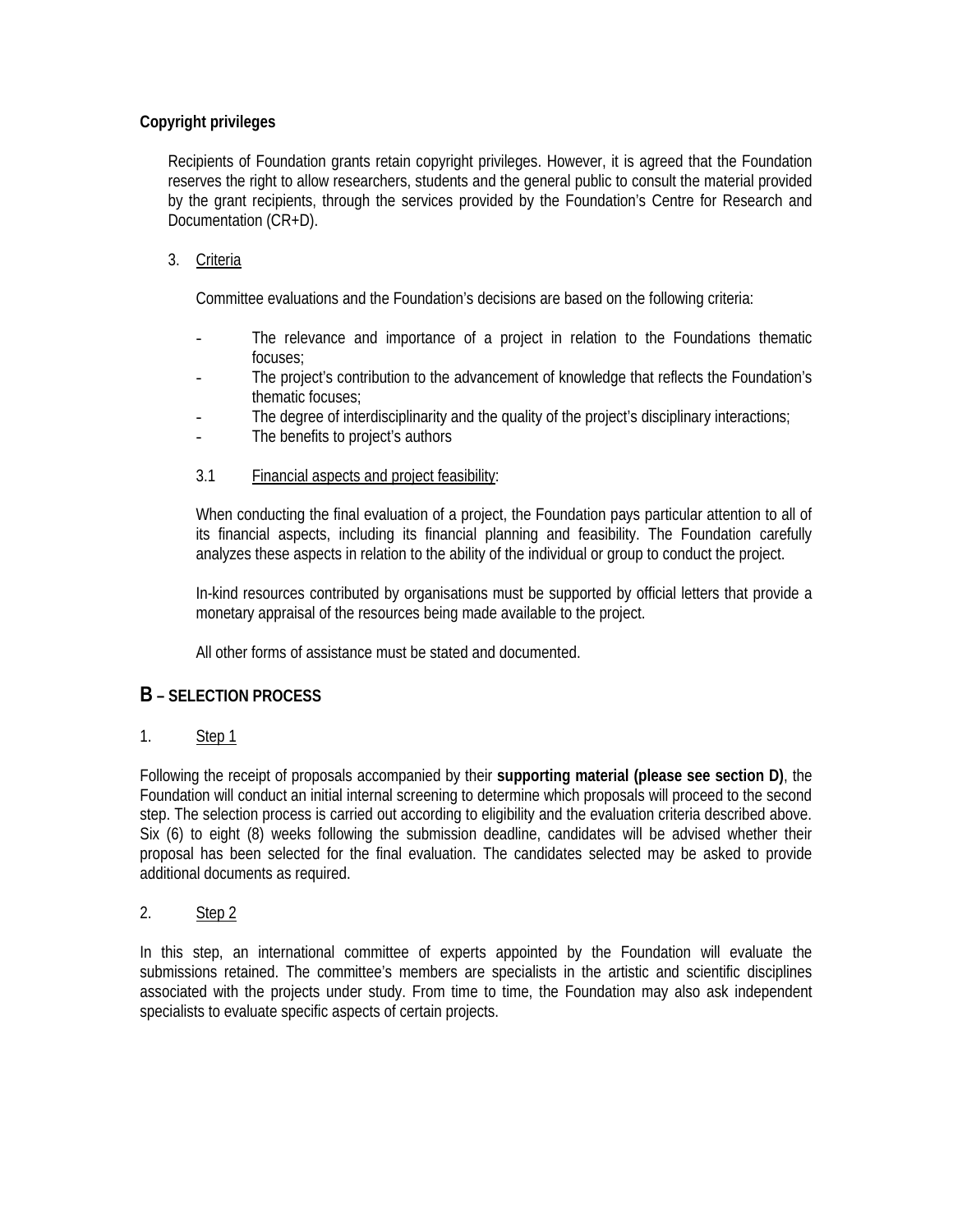## **Copyright privileges**

Recipients of Foundation grants retain copyright privileges. However, it is agreed that the Foundation reserves the right to allow researchers, students and the general public to consult the material provided by the grant recipients, through the services provided by the Foundation's Centre for Research and Documentation (CR+D).

## 3. Criteria

Committee evaluations and the Foundation's decisions are based on the following criteria:

- The relevance and importance of a project in relation to the Foundations thematic focuses;
- The project's contribution to the advancement of knowledge that reflects the Foundation's thematic focuses;
- The degree of interdisciplinarity and the quality of the project's disciplinary interactions;
- The benefits to project's authors
- 3.1 Financial aspects and project feasibility:

When conducting the final evaluation of a project, the Foundation pays particular attention to all of its financial aspects, including its financial planning and feasibility. The Foundation carefully analyzes these aspects in relation to the ability of the individual or group to conduct the project.

In-kind resources contributed by organisations must be supported by official letters that provide a monetary appraisal of the resources being made available to the project.

All other forms of assistance must be stated and documented.

## **B – SELECTION PROCESS**

## 1. Step 1

Following the receipt of proposals accompanied by their **supporting material (please see section D)**, the Foundation will conduct an initial internal screening to determine which proposals will proceed to the second step. The selection process is carried out according to eligibility and the evaluation criteria described above. Six (6) to eight (8) weeks following the submission deadline, candidates will be advised whether their proposal has been selected for the final evaluation. The candidates selected may be asked to provide additional documents as required.

## 2. Step 2

In this step, an international committee of experts appointed by the Foundation will evaluate the submissions retained. The committee's members are specialists in the artistic and scientific disciplines associated with the projects under study. From time to time, the Foundation may also ask independent specialists to evaluate specific aspects of certain projects.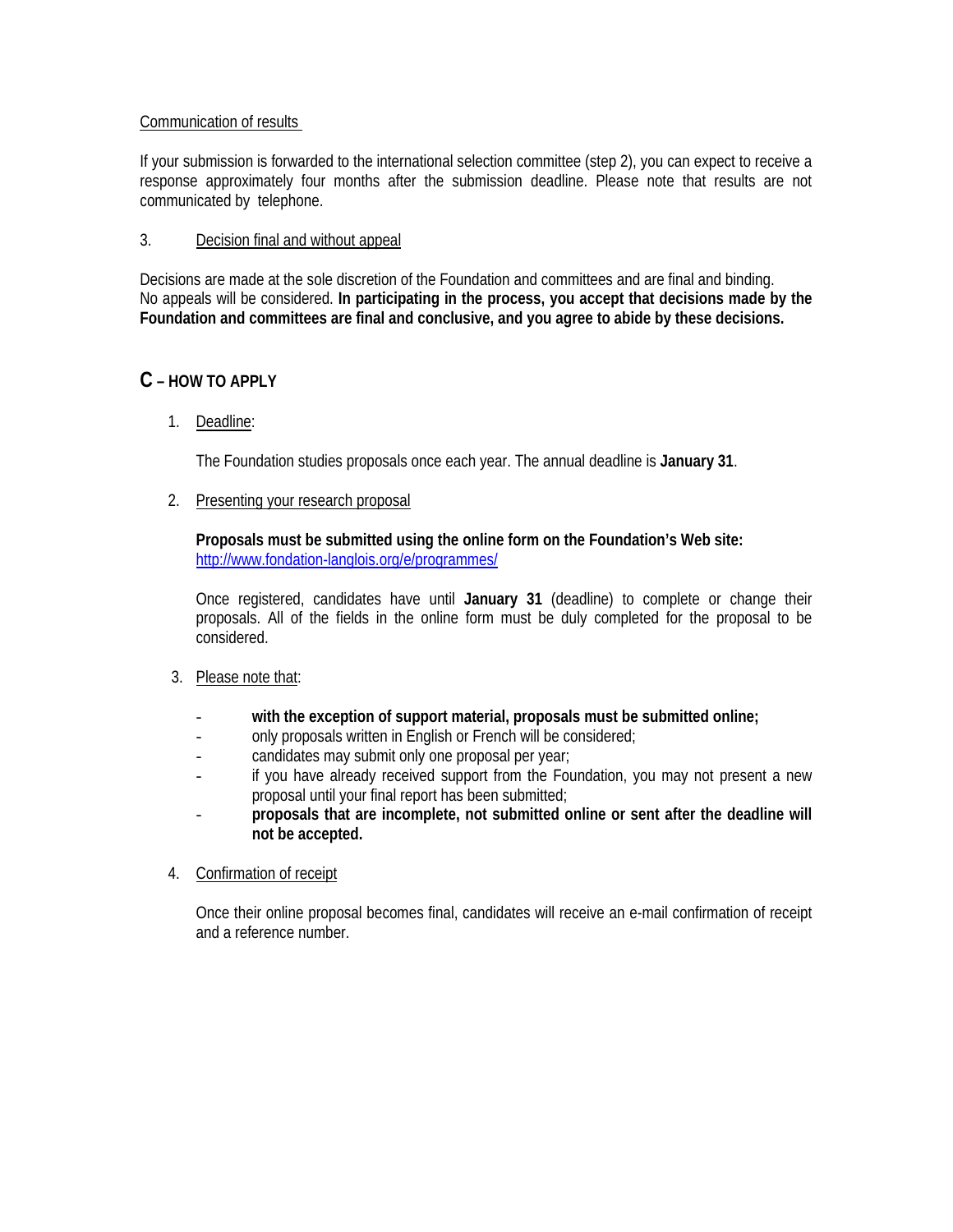### Communication of results

If your submission is forwarded to the international selection committee (step 2), you can expect to receive a response approximately four months after the submission deadline. Please note that results are not communicated by telephone.

### 3. Decision final and without appeal

Decisions are made at the sole discretion of the Foundation and committees and are final and binding. No appeals will be considered. **In participating in the process, you accept that decisions made by the Foundation and committees are final and conclusive, and you agree to abide by these decisions.** 

## **C – HOW TO APPLY**

1. Deadline:

The Foundation studies proposals once each year. The annual deadline is **January 31**.

### 2. Presenting your research proposal

**Proposals must be submitted using the online form on the Foundation's Web site:**  http://www.fondation-langlois.org/e/programmes/

Once registered, candidates have until **January 31** (deadline) to complete or change their proposals. All of the fields in the online form must be duly completed for the proposal to be considered.

- 3. Please note that:
	- **with the exception of support material, proposals must be submitted online;**
	- only proposals written in English or French will be considered;
	- candidates may submit only one proposal per year;
	- if you have already received support from the Foundation, you may not present a new proposal until your final report has been submitted;
	- **proposals that are incomplete, not submitted online or sent after the deadline will not be accepted.**
- 4. Confirmation of receipt

Once their online proposal becomes final, candidates will receive an e-mail confirmation of receipt and a reference number.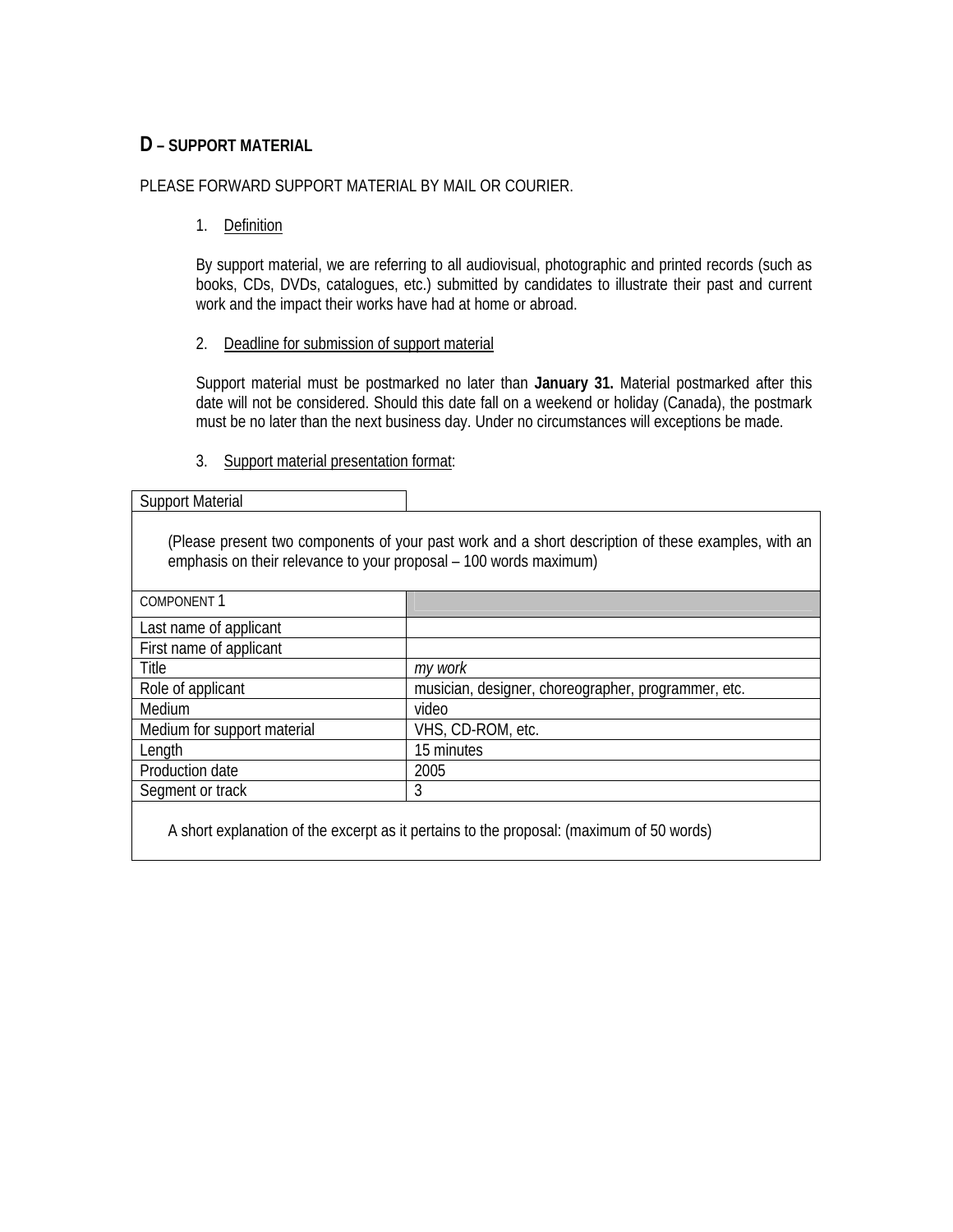## **D – SUPPORT MATERIAL**

### PLEASE FORWARD SUPPORT MATERIAL BY MAIL OR COURIER.

1. Definition

By support material, we are referring to all audiovisual, photographic and printed records (such as books, CDs, DVDs, catalogues, etc.) submitted by candidates to illustrate their past and current work and the impact their works have had at home or abroad.

### 2. Deadline for submission of support material

Support material must be postmarked no later than **January 31.** Material postmarked after this date will not be considered. Should this date fall on a weekend or holiday (Canada), the postmark must be no later than the next business day. Under no circumstances will exceptions be made.

### 3. Support material presentation format:

| <b>Support Material</b>                                                                                                                                                  |                                                     |
|--------------------------------------------------------------------------------------------------------------------------------------------------------------------------|-----------------------------------------------------|
| (Please present two components of your past work and a short description of these examples, with an<br>emphasis on their relevance to your proposal – 100 words maximum) |                                                     |
| <b>COMPONENT1</b>                                                                                                                                                        |                                                     |
| Last name of applicant                                                                                                                                                   |                                                     |
| First name of applicant                                                                                                                                                  |                                                     |
| Title                                                                                                                                                                    | my work                                             |
| Role of applicant                                                                                                                                                        | musician, designer, choreographer, programmer, etc. |
| Medium                                                                                                                                                                   | video                                               |
| Medium for support material                                                                                                                                              | VHS, CD-ROM, etc.                                   |
| Length                                                                                                                                                                   | 15 minutes                                          |
| Production date                                                                                                                                                          | 2005                                                |
| Segment or track                                                                                                                                                         | 3                                                   |
| A short explanation of the excerpt as it pertains to the proposal: (maximum of 50 words)                                                                                 |                                                     |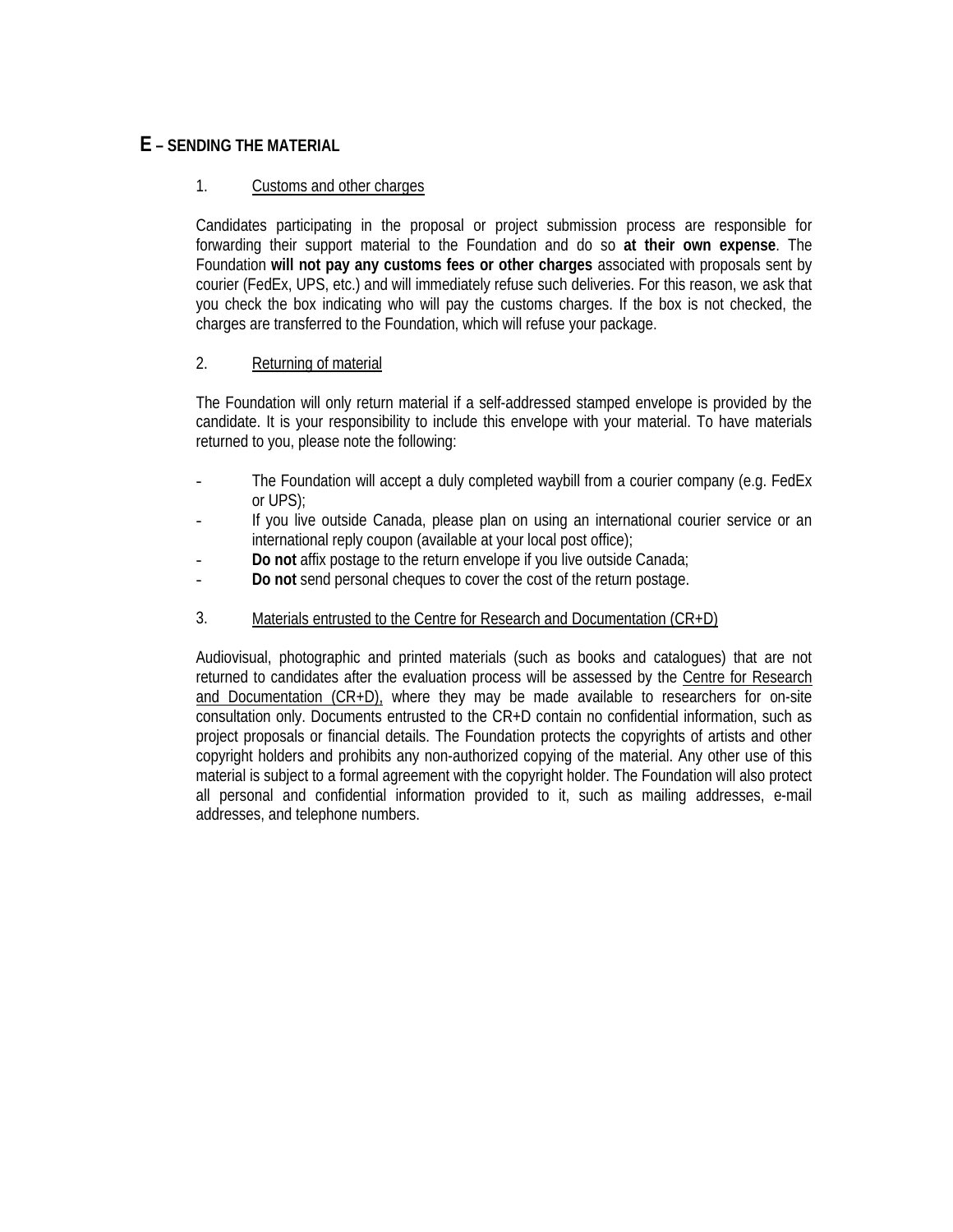## **E – SENDING THE MATERIAL**

## 1. Customs and other charges

Candidates participating in the proposal or project submission process are responsible for forwarding their support material to the Foundation and do so **at their own expense**. The Foundation **will not pay any customs fees or other charges** associated with proposals sent by courier (FedEx, UPS, etc.) and will immediately refuse such deliveries. For this reason, we ask that you check the box indicating who will pay the customs charges. If the box is not checked, the charges are transferred to the Foundation, which will refuse your package.

### 2. Returning of material

The Foundation will only return material if a self-addressed stamped envelope is provided by the candidate. It is your responsibility to include this envelope with your material. To have materials returned to you, please note the following:

- The Foundation will accept a duly completed waybill from a courier company (e.g. FedEx or UPS);
- If you live outside Canada, please plan on using an international courier service or an international reply coupon (available at your local post office);
- **Do not** affix postage to the return envelope if you live outside Canada;
- **Do not** send personal cheques to cover the cost of the return postage.
- 3. Materials entrusted to the Centre for Research and Documentation (CR+D)

Audiovisual, photographic and printed materials (such as books and catalogues) that are not returned to candidates after the evaluation process will be assessed by the Centre for Research and Documentation (CR+D), where they may be made available to researchers for on-site consultation only. Documents entrusted to the CR+D contain no confidential information, such as project proposals or financial details. The Foundation protects the copyrights of artists and other copyright holders and prohibits any non-authorized copying of the material. Any other use of this material is subject to a formal agreement with the copyright holder. The Foundation will also protect all personal and confidential information provided to it, such as mailing addresses, e-mail addresses, and telephone numbers.